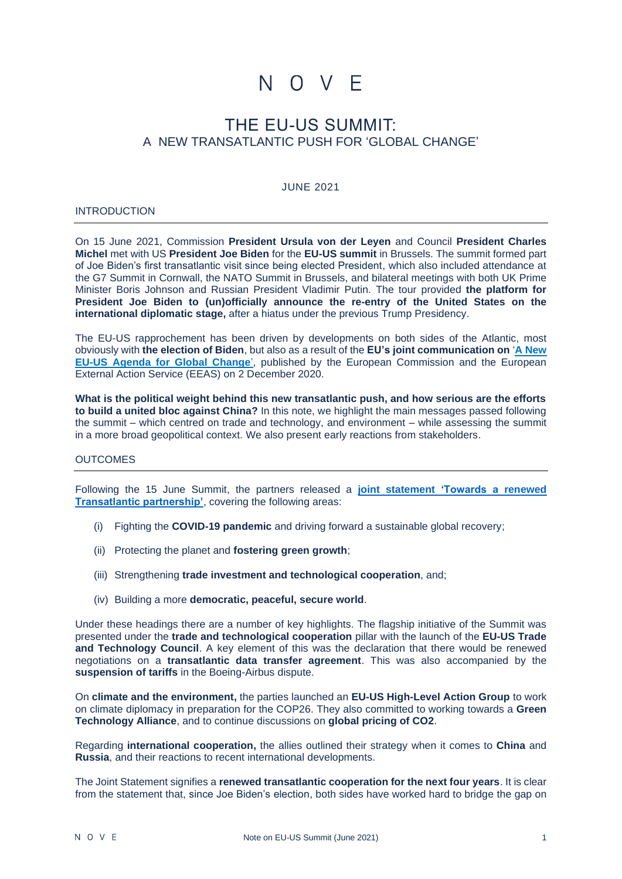# N O V F

# THE EU-US SUMMIT: A NEW TRANSATLANTIC PUSH FOR 'GLOBAL CHANGE'

#### JUNE 2021

#### **INTRODUCTION**

On 15 June 2021, Commission **President Ursula von der Leyen** and Council **President Charles Michel** met with US **President Joe Biden** for the **EU-US summit** in Brussels. The summit formed part of Joe Biden's first transatlantic visit since being elected President, which also included attendance at the G7 Summit in Cornwall, the NATO Summit in Brussels, and bilateral meetings with both UK Prime Minister Boris Johnson and Russian President Vladimir Putin. The tour provided **the platform for President Joe Biden to (un)officially announce the re-entry of the United States on the international diplomatic stage,** after a hiatus under the previous Trump Presidency.

The EU-US rapprochement has been driven by developments on both sides of the Atlantic, most obviously with **the election of Biden**, but also as a result of the **EU's joint communication on** '**[A New](https://ec.europa.eu/info/sites/default/files/joint-communication-eu-us-agenda_en.pdf)  [EU-US Agenda for Global Change](https://ec.europa.eu/info/sites/default/files/joint-communication-eu-us-agenda_en.pdf)**', published by the European Commission and the European External Action Service (EEAS) on 2 December 2020.

**What is the political weight behind this new transatlantic push, and how serious are the efforts to build a united bloc against China?** In this note, we highlight the main messages passed following the summit – which centred on trade and technology, and environment – while assessing the summit in a more broad geopolitical context. We also present early reactions from stakeholders.

#### **OUTCOMES**

Following the 15 June Summit, the partners released a **joint statement ['Towards a renewed](https://www.consilium.europa.eu/media/50443/eu-us-summit-joint-statement-15-june-final-final.pdf)  [Transatlantic partnership'](https://www.consilium.europa.eu/media/50443/eu-us-summit-joint-statement-15-june-final-final.pdf)**, covering the following areas:

- (i) Fighting the **COVID-19 pandemic** and driving forward a sustainable global recovery;
- (ii) Protecting the planet and **fostering green growth**;
- (iii) Strengthening **trade investment and technological cooperation**, and;
- (iv) Building a more **democratic, peaceful, secure world**.

Under these headings there are a number of key highlights. The flagship initiative of the Summit was presented under the **trade and technological cooperation** pillar with the launch of the **EU-US Trade and Technology Council**. A key element of this was the declaration that there would be renewed negotiations on a **transatlantic data transfer agreement**. This was also accompanied by the **suspension of tariffs** in the Boeing-Airbus dispute.

On **climate and the environment,** the parties launched an **EU-US High-Level Action Group** to work on climate diplomacy in preparation for the COP26. They also committed to working towards a **Green Technology Alliance**, and to continue discussions on **global pricing of CO2**.

Regarding **international cooperation,** the allies outlined their strategy when it comes to **China** and **Russia**, and their reactions to recent international developments.

The Joint Statement signifies a **renewed transatlantic cooperation for the next four years**. It is clear from the statement that, since Joe Biden's election, both sides have worked hard to bridge the gap on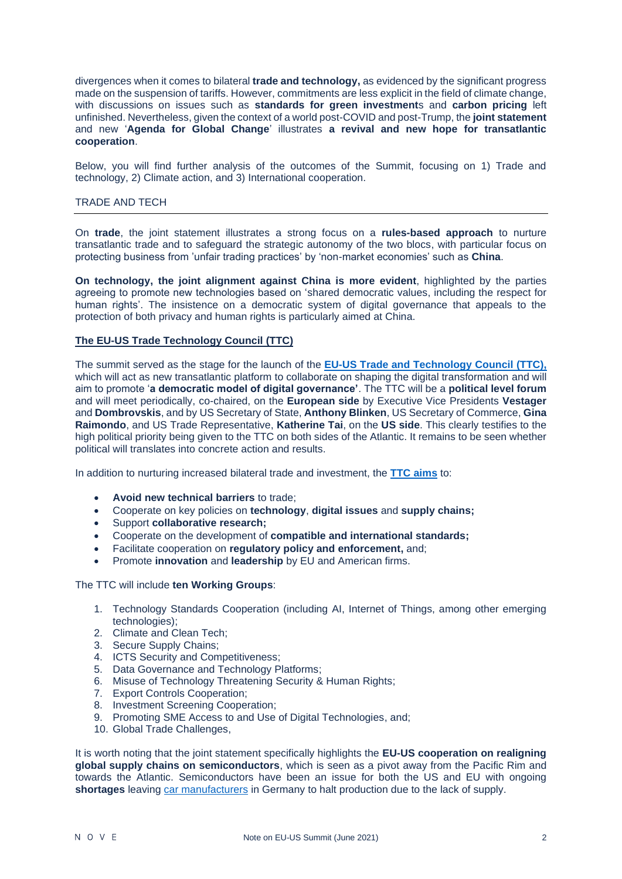divergences when it comes to bilateral **trade and technology,** as evidenced by the significant progress made on the suspension of tariffs. However, commitments are less explicit in the field of climate change, with discussions on issues such as **standards for green investment**s and **carbon pricing** left unfinished. Nevertheless, given the context of a world post-COVID and post-Trump, the **joint statement** and new '**Agenda for Global Change**' illustrates **a revival and new hope for transatlantic cooperation**.

Below, you will find further analysis of the outcomes of the Summit, focusing on 1) Trade and technology, 2) Climate action, and 3) International cooperation.

# TRADE AND TECH

On **trade**, the joint statement illustrates a strong focus on a **rules-based approach** to nurture transatlantic trade and to safeguard the strategic autonomy of the two blocs, with particular focus on protecting business from 'unfair trading practices' by 'non-market economies' such as **China**.

**On technology, the joint alignment against China is more evident**, highlighted by the parties agreeing to promote new technologies based on 'shared democratic values, including the respect for human rights'. The insistence on a democratic system of digital governance that appeals to the protection of both privacy and human rights is particularly aimed at China.

# **The EU-US Trade Technology Council (TTC)**

The summit served as the stage for the launch of the **[EU-US Trade and Technology Council](https://ec.europa.eu/commission/presscorner/detail/en/IP_21_2990) (TTC),** which will act as new transatlantic platform to collaborate on shaping the digital transformation and will aim to promote '**a democratic model of digital governance'**. The TTC will be a **political level forum** and will meet periodically, co-chaired, on the **European side** by Executive Vice Presidents **Vestager** and **Dombrovskis**, and by US Secretary of State, **Anthony Blinken**, US Secretary of Commerce, **Gina Raimondo**, and US Trade Representative, **Katherine Tai**, on the **US side**. This clearly testifies to the high political priority being given to the TTC on both sides of the Atlantic. It remains to be seen whether political will translates into concrete action and results.

In addition to nurturing increased bilateral trade and investment, the **[TTC aims](https://trade.ec.europa.eu/doclib/docs/2021/june/tradoc_159642.pdf)** to:

- **Avoid new technical barriers** to trade;
- Cooperate on key policies on **technology**, **digital issues** and **supply chains;**
- Support **collaborative research;**
- Cooperate on the development of **compatible and international standards;**
- Facilitate cooperation on **regulatory policy and enforcement,** and;
- Promote **innovation** and **leadership** by EU and American firms.

The TTC will include **ten Working Groups**:

- 1. Technology Standards Cooperation (including AI, Internet of Things, among other emerging technologies);
- 2. Climate and Clean Tech;
- 3. Secure Supply Chains;
- 4. ICTS Security and Competitiveness;
- 5. Data Governance and Technology Platforms;
- 6. Misuse of Technology Threatening Security & Human Rights;
- 7. Export Controls Cooperation;
- 8. Investment Screening Cooperation;
- 9. Promoting SME Access to and Use of Digital Technologies, and;
- 10. Global Trade Challenges,

It is worth noting that the joint statement specifically highlights the **EU-US cooperation on realigning global supply chains on semiconductors**, which is seen as a pivot away from the Pacific Rim and towards the Atlantic. Semiconductors have been an issue for both the US and EU with ongoing **shortages** leaving [car manufacturers](https://www.nytimes.com/2021/04/23/business/auto-semiconductors-general-motors-mercedes.html) in Germany to halt production due to the lack of supply.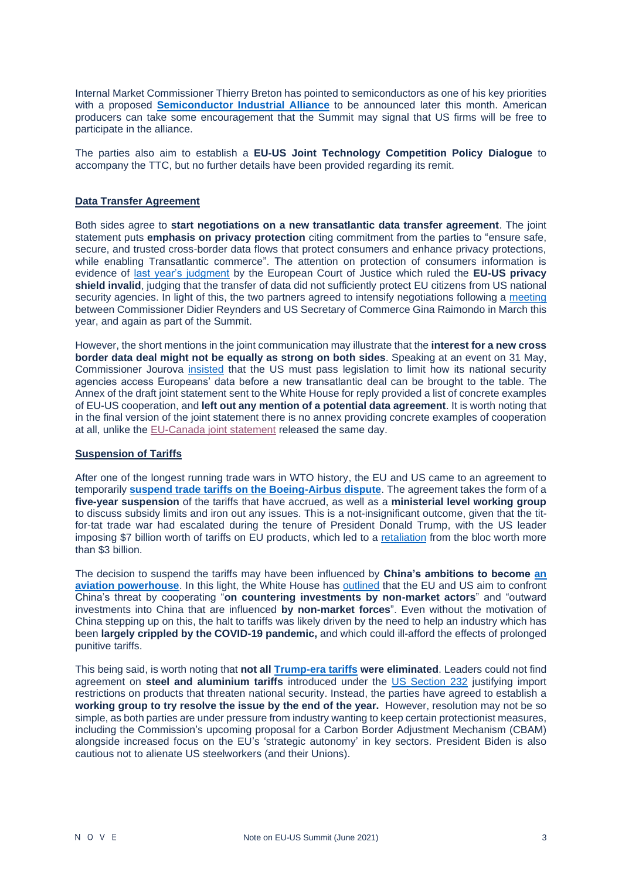Internal Market Commissioner Thierry Breton has pointed to semiconductors as one of his key priorities with a proposed **[Semiconductor Industrial Alliance](https://digital-strategy.ec.europa.eu/en/news/member-states-join-forces-european-initiative-processors-and-semiconductor-technologies)** to be announced later this month. American producers can take some encouragement that the Summit may signal that US firms will be free to participate in the alliance.

The parties also aim to establish a **EU-US Joint Technology Competition Policy Dialogue** to accompany the TTC, but no further details have been provided regarding its remit.

#### **Data Transfer Agreement**

Both sides agree to **start negotiations on a new transatlantic data transfer agreement**. The joint statement puts **emphasis on privacy protection** citing commitment from the parties to "ensure safe, secure, and trusted cross-border data flows that protect consumers and enhance privacy protections, while enabling Transatlantic commerce". The attention on protection of consumers information is evidence of [last year's judgment](https://eur-lex.europa.eu/legal-content/en/TXT/?uri=CELEX:62018CJ0311) by the European Court of Justice which ruled the **EU-US privacy**  shield invalid, judging that the transfer of data did not sufficiently protect EU citizens from US national security agencies. In light of this, the two partners agreed to intensify negotiations following a [meeting](https://ec.europa.eu/commission/presscorner/detail/en/STATEMENT_21_1443) between Commissioner Didier Reynders and US Secretary of Commerce Gina Raimondo in March this year, and again as part of the Summit.

However, the short mentions in the joint communication may illustrate that the **interest for a new cross border data deal might not be equally as strong on both sides**. Speaking at an event on 31 May, Commissioner Jourova [insisted](https://pro.politico.eu/news/europe-to-us-pass-new-laws-if-you-want-data-transfer-deal-privacy-regulation) that the US must pass legislation to limit how its national security agencies access Europeans' data before a new transatlantic deal can be brought to the table. The Annex of the draft joint statement sent to the White House for reply provided a list of concrete examples of EU-US cooperation, and **left out any mention of a potential data agreement**. It is worth noting that in the final version of the joint statement there is no annex providing concrete examples of cooperation at all, unlike the [EU-Canada joint statement](https://www.consilium.europa.eu/media/50431/20210614-joint-statement-final.pdf) released the same day.

#### **Suspension of Tariffs**

After one of the longest running trade wars in WTO history, the EU and US came to an agreement to temporarily **[suspend trade tariffs on the Boeing-Airbus dispute](https://ec.europa.eu/commission/presscorner/detail/en/ip_21_3001)**. The agreement takes the form of a **five-year suspension** of the tariffs that have accrued, as well as a **ministerial level working group** to discuss subsidy limits and iron out any issues. This is a not-insignificant outcome, given that the titfor-tat trade war had escalated during the tenure of President Donald Trump, with the US leader imposing \$7 billion worth of tariffs on EU products, which led to a [retaliation](https://ec.europa.eu/commission/presscorner/detail/en/IP_18_4220) from the bloc worth more than \$3 billion.

The decision to suspend the tariffs may have been influenced by **China's ambitions to become [an](https://www.nytimes.com/2021/06/15/business/US-EU-Airbus-Boeing.html)  [aviation powerhouse](https://www.nytimes.com/2021/06/15/business/US-EU-Airbus-Boeing.html)**. In this light, the White House has [outlined](https://www.whitehouse.gov/briefing-room/statements-releases/2021/06/15/fact-sheet-u-s-eu-understanding-on-a-cooperative-framework-for-large-civil-aircraft/) that the EU and US aim to confront China's threat by cooperating "**on countering investments by non-market actors**" and "outward investments into China that are influenced **by non-market forces**". Even without the motivation of China stepping up on this, the halt to tariffs was likely driven by the need to help an industry which has been **largely crippled by the COVID-19 pandemic,** and which could ill-afford the effects of prolonged punitive tariffs.

This being said, is worth noting that **not all [Trump-era tariffs](https://www.politico.eu/article/donald-trump-jean-claude-juncker-announces-trade-negotiations-with-eu/) were eliminated**. Leaders could not find agreement on **steel and aluminium tariffs** introduced under the [US Section 232](https://www.commerce.gov/issues/trade-enforcement/section-232-steel) justifying import restrictions on products that threaten national security. Instead, the parties have agreed to establish a **working group to try resolve the issue by the end of the year.** However, resolution may not be so simple, as both parties are under pressure from industry wanting to keep certain protectionist measures, including the Commission's upcoming proposal for a Carbon Border Adjustment Mechanism (CBAM) alongside increased focus on the EU's 'strategic autonomy' in key sectors. President Biden is also cautious not to alienate US steelworkers (and their Unions).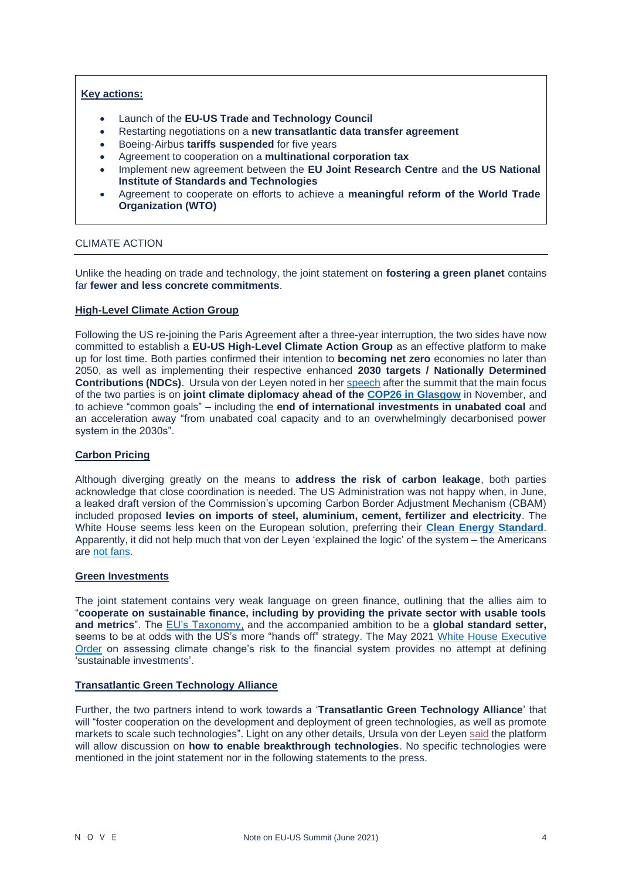#### **Key actions:**

- Launch of the **EU-US Trade and Technology Council**
- Restarting negotiations on a **new transatlantic data transfer agreement**
- Boeing-Airbus **tariffs suspended** for five years
- Agreement to cooperation on a **multinational corporation tax**
- Implement new agreement between the **EU Joint Research Centre** and **the US National Institute of Standards and Technologies**
- Agreement to cooperate on efforts to achieve a **meaningful reform of the World Trade Organization (WTO)**

#### CLIMATE ACTION

Unlike the heading on trade and technology, the joint statement on **fostering a green planet** contains far **fewer and less concrete commitments**.

#### **High-Level Climate Action Group**

Following the US re-joining the Paris Agreement after a three-year interruption, the two sides have now committed to establish a **EU-US High-Level Climate Action Group** as an effective platform to make up for lost time. Both parties confirmed their intention to **becoming net zero** economies no later than 2050, as well as implementing their respective enhanced **2030 targets / Nationally Determined Contributions (NDCs)**. Ursula von der Leyen noted in her [speech](https://ec.europa.eu/commission/presscorner/detail/en/statement_21_3007) after the summit that the main focus of the two parties is on **joint climate diplomacy ahead of the [COP26 in Glasgow](https://ukcop26.org/)** in November, and to achieve "common goals" – including the **end of international investments in unabated coal** and an acceleration away "from unabated coal capacity and to an overwhelmingly decarbonised power system in the 2030s".

# **Carbon Pricing**

Although diverging greatly on the means to **address the risk of carbon leakage**, both parties acknowledge that close coordination is needed. The US Administration was not happy when, in June, a leaked draft version of the Commission's upcoming Carbon Border Adjustment Mechanism (CBAM) included proposed **levies on imports of steel, aluminium, cement, fertilizer and electricity**. The White House seems less keen on the European solution, preferring their **[Clean Energy](https://www.whitehouse.gov/briefing-room/statements-releases/2021/04/22/fact-sheet-president-biden-sets-2030-greenhouse-gas-pollution-reduction-target-aimed-at-creating-good-paying-union-jobs-and-securing-u-s-leadership-on-clean-energy-technologies/) Standard**. Apparently, it did not help much that von der Leyen 'explained the logic' of the system – the Americans are [not fans.](https://pro.politico.eu/news/carbon-border-tax-should-be-a-last-resort-according-to-kerry)

#### **Green Investments**

The joint statement contains very weak language on green finance, outlining that the allies aim to "**cooperate on sustainable finance, including by providing the private sector with usable tools and metrics**". The [EU's Taxonomy,](https://ec.europa.eu/info/business-economy-euro/banking-and-finance/sustainable-finance/eu-taxonomy-sustainable-activities_en) and the accompanied ambition to be a **global standard setter,** seems to be at odds with the US's more "hands off" strategy. The May 2021 [White House Executive](https://www.whitehouse.gov/briefing-room/presidential-actions/2021/05/20/executive-order-on-climate-related-financial-risk/) [Order](https://www.whitehouse.gov/briefing-room/presidential-actions/2021/05/20/executive-order-on-climate-related-financial-risk/) on assessing climate change's risk to the financial system provides no attempt at defining 'sustainable investments'.

# **Transatlantic Green Technology Alliance**

Further, the two partners intend to work towards a '**Transatlantic Green Technology Alliance**' that will "foster cooperation on the development and deployment of green technologies, as well as promote markets to scale such technologies". Light on any other details, Ursula von der Leye[n said](https://ec.europa.eu/commission/presscorner/detail/en/statement_21_3007) the platform will allow discussion on **how to enable breakthrough technologies**. No specific technologies were mentioned in the joint statement nor in the following statements to the press.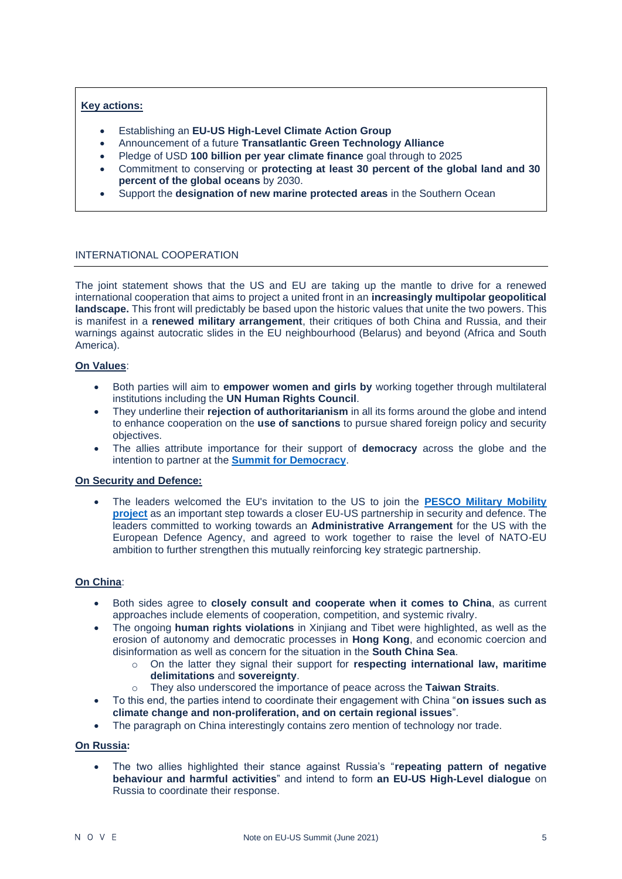# **Key actions:**

- Establishing an **EU-US High-Level Climate Action Group**
- Announcement of a future **Transatlantic Green Technology Alliance**
- Pledge of USD **100 billion per year climate finance** goal through to 2025
- Commitment to conserving or **protecting at least 30 percent of the global land and 30 percent of the global oceans** by 2030.
- Support the **designation of new marine protected areas** in the Southern Ocean

#### INTERNATIONAL COOPERATION

The joint statement shows that the US and EU are taking up the mantle to drive for a renewed international cooperation that aims to project a united front in an **increasingly multipolar geopolitical landscape.** This front will predictably be based upon the historic values that unite the two powers. This is manifest in a **renewed military arrangement**, their critiques of both China and Russia, and their warnings against autocratic slides in the EU neighbourhood (Belarus) and beyond (Africa and South America).

# **On Values**:

- Both parties will aim to **empower women and girls by** working together through multilateral institutions including the **UN Human Rights Council**.
- They underline their **rejection of authoritarianism** in all its forms around the globe and intend to enhance cooperation on the **use of sanctions** to pursue shared foreign policy and security objectives.
- The allies attribute importance for their support of **democracy** across the globe and the intention to partner at the **[Summit for Democracy](https://www.allianceofdemocracies.org/initiatives/the-copenhagen-democracy-summit/the-summit-2021/)**.

#### **On Security and Defence:**

• The leaders welcomed the EU's invitation to the US to join the **[PESCO Military Mobility](https://pesco.europa.eu/project/military-mobility/)  [project](https://pesco.europa.eu/project/military-mobility/)** as an important step towards a closer EU-US partnership in security and defence. The leaders committed to working towards an **Administrative Arrangement** for the US with the European Defence Agency, and agreed to work together to raise the level of NATO-EU ambition to further strengthen this mutually reinforcing key strategic partnership.

#### **On China**:

- Both sides agree to **closely consult and cooperate when it comes to China**, as current approaches include elements of cooperation, competition, and systemic rivalry.
- The ongoing **human rights violations** in Xinjiang and Tibet were highlighted, as well as the erosion of autonomy and democratic processes in **Hong Kong**, and economic coercion and disinformation as well as concern for the situation in the **South China Sea**.
	- o On the latter they signal their support for **respecting international law, maritime delimitations** and **sovereignty**.
	- o They also underscored the importance of peace across the **Taiwan Straits**.
- To this end, the parties intend to coordinate their engagement with China "**on issues such as climate change and non-proliferation, and on certain regional issues**".
- The paragraph on China interestingly contains zero mention of technology nor trade.

#### **On Russia:**

• The two allies highlighted their stance against Russia's "**repeating pattern of negative behaviour and harmful activities**" and intend to form **an EU-US High-Level dialogue** on Russia to coordinate their response.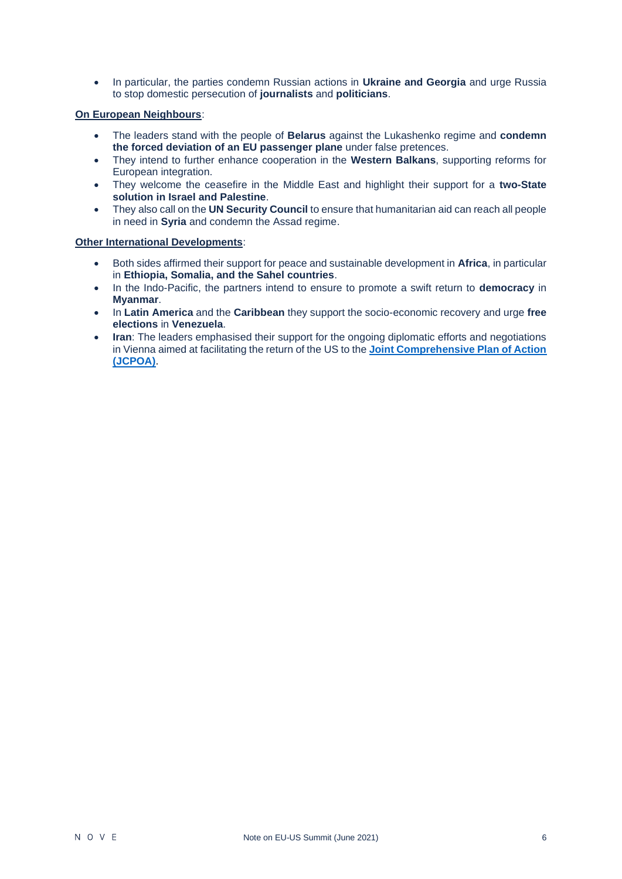• In particular, the parties condemn Russian actions in **Ukraine and Georgia** and urge Russia to stop domestic persecution of **journalists** and **politicians**.

# **On European Neighbours**:

- The leaders stand with the people of **Belarus** against the Lukashenko regime and **condemn the forced deviation of an EU passenger plane** under false pretences.
- They intend to further enhance cooperation in the **Western Balkans**, supporting reforms for European integration.
- They welcome the ceasefire in the Middle East and highlight their support for a **two-State solution in Israel and Palestine**.
- They also call on the **UN Security Council** to ensure that humanitarian aid can reach all people in need in **Syria** and condemn the Assad regime.

#### **Other International Developments**:

- Both sides affirmed their support for peace and sustainable development in **Africa**, in particular in **Ethiopia, Somalia, and the Sahel countries**.
- In the Indo-Pacific, the partners intend to ensure to promote a swift return to **democracy** in **Myanmar**.
- In **Latin America** and the **Caribbean** they support the socio-economic recovery and urge **free elections** in **Venezuela**.
- **Iran**: The leaders emphasised their support for the ongoing diplomatic efforts and negotiations in Vienna aimed at facilitating the return of the US to the **[Joint Comprehensive Plan of Action](https://www.consilium.europa.eu/en/policies/sanctions/iran/jcpoa-restrictive-measures/)  [\(JCPOA\)](https://www.consilium.europa.eu/en/policies/sanctions/iran/jcpoa-restrictive-measures/)**.